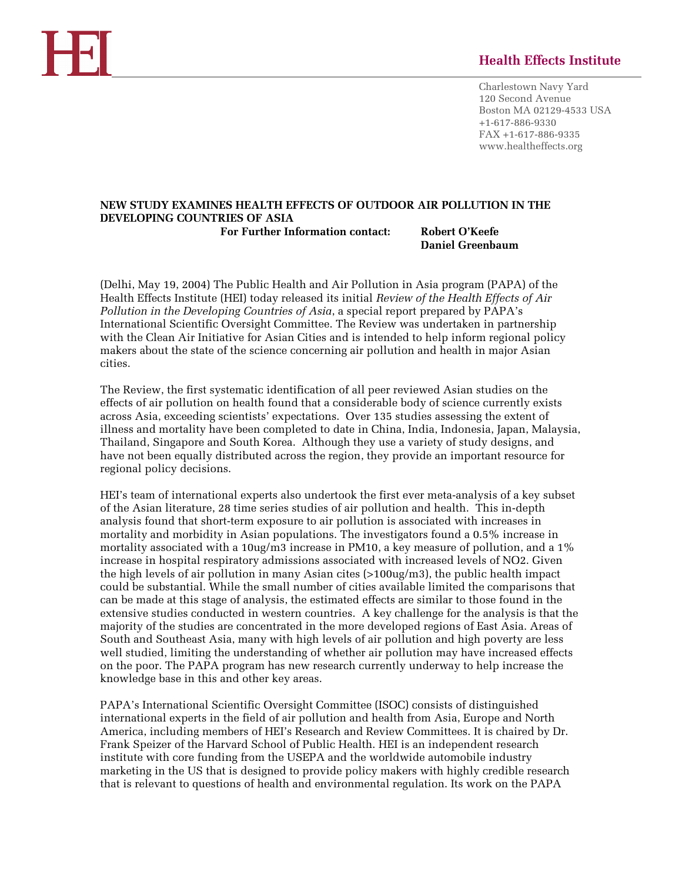# **Health Effects Institute**

Charlestown Navy Yard 120 Second Avenue Boston MA 02129-4533 USA +1-617-886-9330 FAX +1-617-886-9335 www.healtheffects.org

# **NEW STUDY EXAMINES HEALTH EFFECTS OF OUTDOOR AIR POLLUTION IN THE DEVELOPING COUNTRIES OF ASIA For Further Information contact: Robert O'Keefe**

 **Daniel Greenbaum** 

(Delhi, May 19, 2004) The Public Health and Air Pollution in Asia program (PAPA) of the Health Effects Institute (HEI) today released its initial *Review of the Health Effects of Air Pollution in the Developing Countries of Asia*, a special report prepared by PAPA's International Scientific Oversight Committee. The Review was undertaken in partnership with the Clean Air Initiative for Asian Cities and is intended to help inform regional policy makers about the state of the science concerning air pollution and health in major Asian cities.

The Review, the first systematic identification of all peer reviewed Asian studies on the effects of air pollution on health found that a considerable body of science currently exists across Asia, exceeding scientists' expectations. Over 135 studies assessing the extent of illness and mortality have been completed to date in China, India, Indonesia, Japan, Malaysia, Thailand, Singapore and South Korea. Although they use a variety of study designs, and have not been equally distributed across the region, they provide an important resource for regional policy decisions.

HEI's team of international experts also undertook the first ever meta-analysis of a key subset of the Asian literature, 28 time series studies of air pollution and health. This in-depth analysis found that short-term exposure to air pollution is associated with increases in mortality and morbidity in Asian populations. The investigators found a 0.5% increase in mortality associated with a 10ug/m3 increase in PM10, a key measure of pollution, and a 1% increase in hospital respiratory admissions associated with increased levels of NO2. Given the high levels of air pollution in many Asian cites (>100ug/m3), the public health impact could be substantial. While the small number of cities available limited the comparisons that can be made at this stage of analysis, the estimated effects are similar to those found in the extensive studies conducted in western countries. A key challenge for the analysis is that the majority of the studies are concentrated in the more developed regions of East Asia. Areas of South and Southeast Asia, many with high levels of air pollution and high poverty are less well studied, limiting the understanding of whether air pollution may have increased effects on the poor. The PAPA program has new research currently underway to help increase the knowledge base in this and other key areas.

PAPA's International Scientific Oversight Committee (ISOC) consists of distinguished international experts in the field of air pollution and health from Asia, Europe and North America, including members of HEI's Research and Review Committees. It is chaired by Dr. Frank Speizer of the Harvard School of Public Health. HEI is an independent research institute with core funding from the USEPA and the worldwide automobile industry marketing in the US that is designed to provide policy makers with highly credible research that is relevant to questions of health and environmental regulation. Its work on the PAPA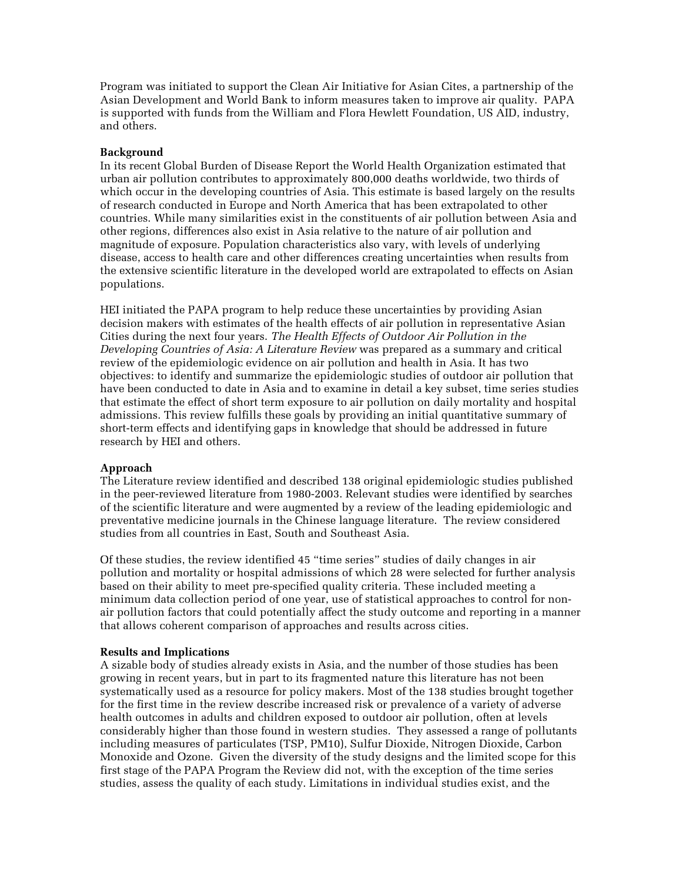Program was initiated to support the Clean Air Initiative for Asian Cites, a partnership of the Asian Development and World Bank to inform measures taken to improve air quality. PAPA is supported with funds from the William and Flora Hewlett Foundation, US AID, industry, and others.

# **Background**

In its recent Global Burden of Disease Report the World Health Organization estimated that urban air pollution contributes to approximately 800,000 deaths worldwide, two thirds of which occur in the developing countries of Asia. This estimate is based largely on the results of research conducted in Europe and North America that has been extrapolated to other countries. While many similarities exist in the constituents of air pollution between Asia and other regions, differences also exist in Asia relative to the nature of air pollution and magnitude of exposure. Population characteristics also vary, with levels of underlying disease, access to health care and other differences creating uncertainties when results from the extensive scientific literature in the developed world are extrapolated to effects on Asian populations.

HEI initiated the PAPA program to help reduce these uncertainties by providing Asian decision makers with estimates of the health effects of air pollution in representative Asian Cities during the next four years. *The Health Effects of Outdoor Air Pollution in the Developing Countries of Asia: A Literature Review* was prepared as a summary and critical review of the epidemiologic evidence on air pollution and health in Asia. It has two objectives: to identify and summarize the epidemiologic studies of outdoor air pollution that have been conducted to date in Asia and to examine in detail a key subset, time series studies that estimate the effect of short term exposure to air pollution on daily mortality and hospital admissions. This review fulfills these goals by providing an initial quantitative summary of short-term effects and identifying gaps in knowledge that should be addressed in future research by HEI and others.

## **Approach**

The Literature review identified and described 138 original epidemiologic studies published in the peer-reviewed literature from 1980-2003. Relevant studies were identified by searches of the scientific literature and were augmented by a review of the leading epidemiologic and preventative medicine journals in the Chinese language literature. The review considered studies from all countries in East, South and Southeast Asia.

Of these studies, the review identified 45 "time series" studies of daily changes in air pollution and mortality or hospital admissions of which 28 were selected for further analysis based on their ability to meet pre-specified quality criteria. These included meeting a minimum data collection period of one year, use of statistical approaches to control for nonair pollution factors that could potentially affect the study outcome and reporting in a manner that allows coherent comparison of approaches and results across cities.

## **Results and Implications**

A sizable body of studies already exists in Asia, and the number of those studies has been growing in recent years, but in part to its fragmented nature this literature has not been systematically used as a resource for policy makers. Most of the 138 studies brought together for the first time in the review describe increased risk or prevalence of a variety of adverse health outcomes in adults and children exposed to outdoor air pollution, often at levels considerably higher than those found in western studies. They assessed a range of pollutants including measures of particulates (TSP, PM10), Sulfur Dioxide, Nitrogen Dioxide, Carbon Monoxide and Ozone. Given the diversity of the study designs and the limited scope for this first stage of the PAPA Program the Review did not, with the exception of the time series studies, assess the quality of each study. Limitations in individual studies exist, and the